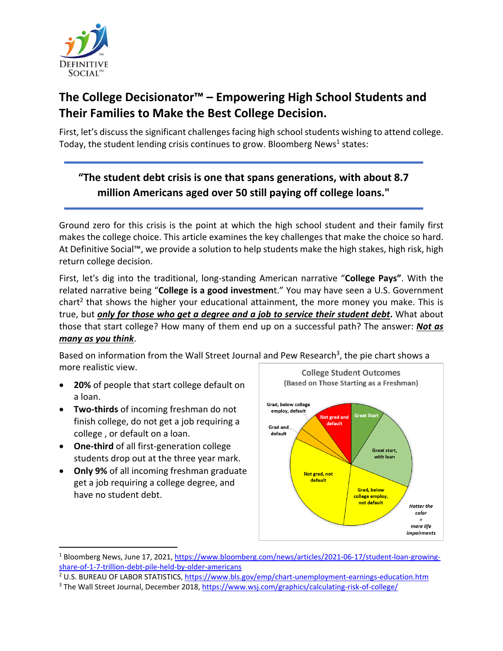

# **The College Decisionator™ – Empowering High School Students and Their Families to Make the Best College Decision.**

First, let's discuss the significant challenges facing high school students wishing to attend college. Today, the student lending crisis continues to grow. Bloomberg News<sup>1</sup> states:

# **"The student debt crisis is one that spans generations, with about 8.7 million Americans aged over 50 still paying off college loans."**

Ground zero for this crisis is the point at which the high school student and their family first makes the college choice. This article examines the key challenges that make the choice so hard. At Definitive Social™, we provide a solution to help students make the high stakes, high risk, high return college decision.

First, let's dig into the traditional, long‐standing American narrative "**College Pays"**. With the related narrative being "**College is a good investmen**t." You may have seen a U.S. Government chart<sup>2</sup> that shows the higher your educational attainment, the more money you make. This is true, but *only for those who get a degree and a job to service their student debt***.** What about those that start college? How many of them end up on a successful path? The answer: *Not as many as you think*.

Based on information from the Wall Street Journal and Pew Research<sup>3</sup>, the pie chart shows a more realistic view.

- **20%** of people that start college default on a loan.
- **Two‐thirds** of incoming freshman do not finish college, do not get a job requiring a college , or default on a loan.
- **One‐third** of all first‐generation college students drop out at the three year mark.
- **Only 9%** of all incoming freshman graduate get a job requiring a college degree, and have no student debt.



<sup>1</sup> Bloomberg News, June 17, 2021, https://www.bloomberg.com/news/articles/2021‐06‐17/student‐loan‐growing‐ share‐of‐1‐7‐trillion‐debt‐pile‐held‐by‐older‐americans

<sup>&</sup>lt;sup>2</sup> U.S. BUREAU OF LABOR STATISTICS, https://www.bls.gov/emp/chart-unemployment-earnings-education.htm

<sup>3</sup> The Wall Street Journal, December 2018, https://www.wsj.com/graphics/calculating‐risk‐of‐college/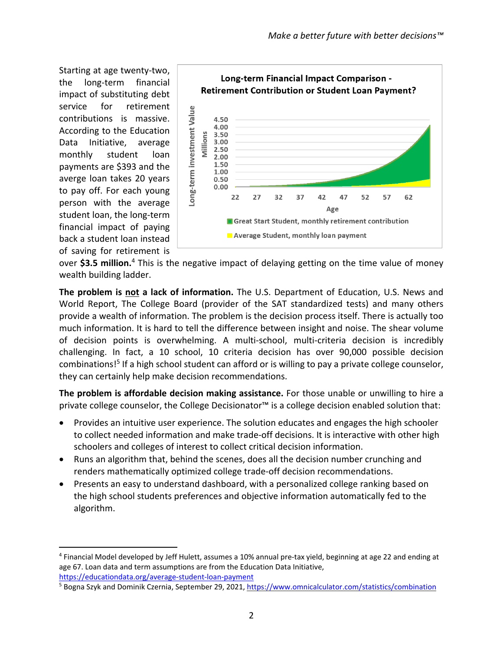Starting at age twenty‐two, the long‐term financial impact of substituting debt service for retirement contributions is massive. According to the Education Data Initiative, average monthly student loan payments are \$393 and the averge loan takes 20 years to pay off. For each young person with the average student loan, the long‐term financial impact of paying back a student loan instead of saving for retirement is



over **\$3.5 million.**<sup>4</sup> This is the negative impact of delaying getting on the time value of money wealth building ladder.

**The problem is not a lack of information.** The U.S. Department of Education, U.S. News and World Report, The College Board (provider of the SAT standardized tests) and many others provide a wealth of information. The problem is the decision process itself. There is actually too much information. It is hard to tell the difference between insight and noise. The shear volume of decision points is overwhelming. A multi‐school, multi‐criteria decision is incredibly challenging. In fact, a 10 school, 10 criteria decision has over 90,000 possible decision combinations!5 If a high school student can afford or is willing to pay a private college counselor, they can certainly help make decision recommendations.

**The problem is affordable decision making assistance.** For those unable or unwilling to hire a private college counselor, the College Decisionator™ is a college decision enabled solution that:

- Provides an intuitive user experience. The solution educates and engages the high schooler to collect needed information and make trade‐off decisions. It is interactive with other high schoolers and colleges of interest to collect critical decision information.
- Runs an algorithm that, behind the scenes, does all the decision number crunching and renders mathematically optimized college trade‐off decision recommendations.
- Presents an easy to understand dashboard, with a personalized college ranking based on the high school students preferences and objective information automatically fed to the algorithm.

<sup>4</sup> Financial Model developed by Jeff Hulett, assumes a 10% annual pre‐tax yield, beginning at age 22 and ending at age 67. Loan data and term assumptions are from the Education Data Initiative, https://educationdata.org/average‐student‐loan‐payment

<sup>5</sup> Bogna Szyk and Dominik Czernia, September 29, 2021, https://www.omnicalculator.com/statistics/combination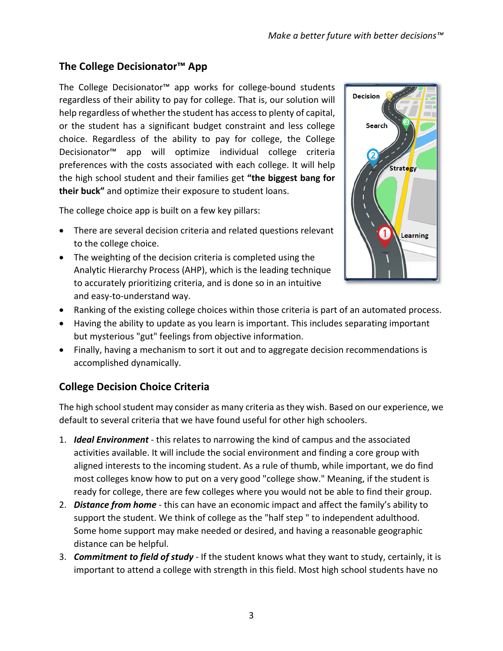## **The College Decisionator™ App**

The College Decisionator™ app works for college‐bound students regardless of their ability to pay for college. That is, our solution will help regardless of whether the student has accessto plenty of capital, or the student has a significant budget constraint and less college choice. Regardless of the ability to pay for college, the College Decisionator™ app will optimize individual college criteria preferences with the costs associated with each college. It will help the high school student and their families get **"the biggest bang for their buck"** and optimize their exposure to student loans.

The college choice app is built on a few key pillars:

- There are several decision criteria and related questions relevant to the college choice.
- The weighting of the decision criteria is completed using the Analytic Hierarchy Process (AHP), which is the leading technique to accurately prioritizing criteria, and is done so in an intuitive and easy‐to‐understand way.



- Ranking of the existing college choices within those criteria is part of an automated process.
- Having the ability to update as you learn is important. This includes separating important but mysterious "gut" feelings from objective information.
- Finally, having a mechanism to sort it out and to aggregate decision recommendations is accomplished dynamically.

#### **College Decision Choice Criteria**

The high school student may consider as many criteria asthey wish. Based on our experience, we default to several criteria that we have found useful for other high schoolers.

- 1. *Ideal Environment* ‐ this relates to narrowing the kind of campus and the associated activities available. It will include the social environment and finding a core group with aligned interests to the incoming student. As a rule of thumb, while important, we do find most colleges know how to put on a very good "college show." Meaning, if the student is ready for college, there are few colleges where you would not be able to find their group.
- 2. *Distance from home* ‐ this can have an economic impact and affect the family's ability to support the student. We think of college as the "half step " to independent adulthood. Some home support may make needed or desired, and having a reasonable geographic distance can be helpful.
- 3. *Commitment to field of study* ‐ If the student knows what they want to study, certainly, it is important to attend a college with strength in this field. Most high school students have no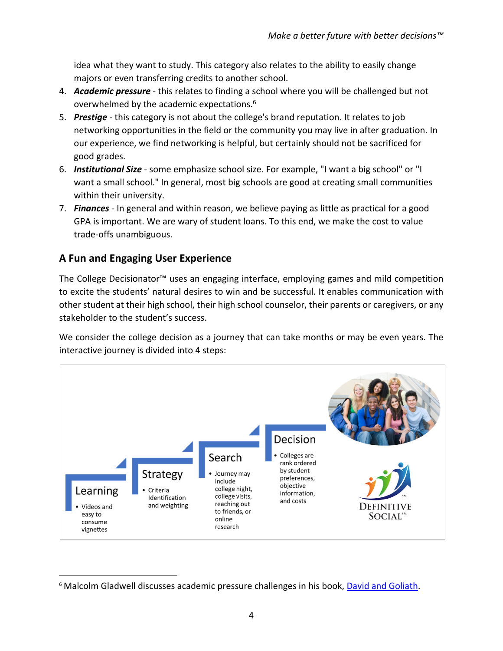idea what they want to study. This category also relates to the ability to easily change majors or even transferring credits to another school.

- 4. *Academic pressure* ‐ this relates to finding a school where you will be challenged but not overwhelmed by the academic expectations.<sup>6</sup>
- 5. *Prestige* this category is not about the college's brand reputation. It relates to job networking opportunities in the field or the community you may live in after graduation. In our experience, we find networking is helpful, but certainly should not be sacrificed for good grades.
- 6. *Institutional Size* ‐ some emphasize school size. For example, "I want a big school" or "I want a small school." In general, most big schools are good at creating small communities within their university.
- 7. *Finances* ‐ In general and within reason, we believe paying as little as practical for a good GPA is important. We are wary of student loans. To this end, we make the cost to value trade‐offs unambiguous.

## **A Fun and Engaging User Experience**

The College Decisionator™ uses an engaging interface, employing games and mild competition to excite the students' natural desires to win and be successful. It enables communication with other student at their high school, their high school counselor, their parents or caregivers, or any stakeholder to the student's success.

We consider the college decision as a journey that can take months or may be even years. The interactive journey is divided into 4 steps:



<sup>&</sup>lt;sup>6</sup> Malcolm Gladwell discusses academic pressure challenges in his book, David and Goliath.